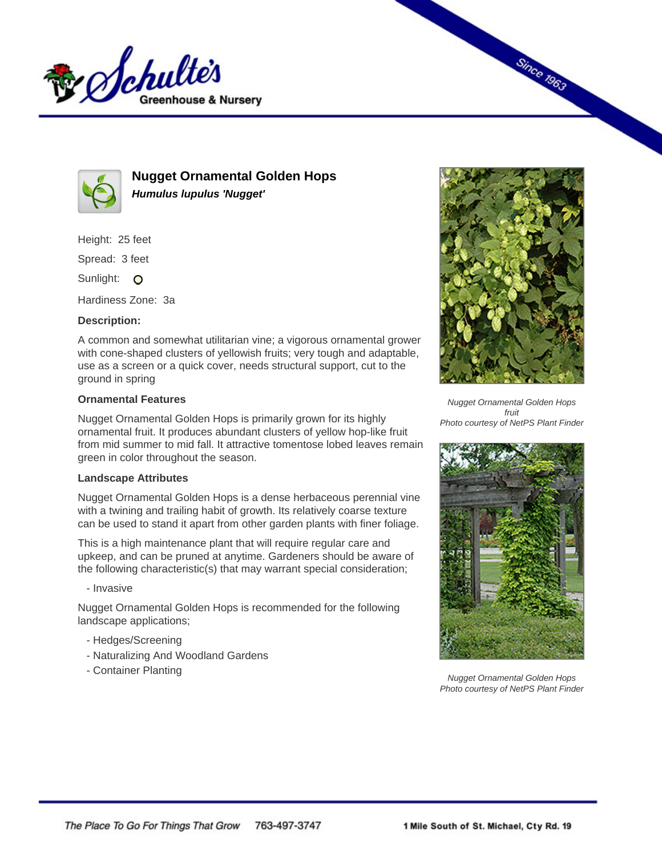



**Nugget Ornamental Golden Hops Humulus lupulus 'Nugget'**

Height: 25 feet

Spread: 3 feet

Sunlight: O

Hardiness Zone: 3a

## **Description:**

A common and somewhat utilitarian vine; a vigorous ornamental grower with cone-shaped clusters of yellowish fruits; very tough and adaptable, use as a screen or a quick cover, needs structural support, cut to the ground in spring

## **Ornamental Features**

Nugget Ornamental Golden Hops is primarily grown for its highly ornamental fruit. It produces abundant clusters of yellow hop-like fruit from mid summer to mid fall. It attractive tomentose lobed leaves remain green in color throughout the season.

## **Landscape Attributes**

Nugget Ornamental Golden Hops is a dense herbaceous perennial vine with a twining and trailing habit of growth. Its relatively coarse texture can be used to stand it apart from other garden plants with finer foliage.

This is a high maintenance plant that will require regular care and upkeep, and can be pruned at anytime. Gardeners should be aware of the following characteristic(s) that may warrant special consideration;

- Invasive

Nugget Ornamental Golden Hops is recommended for the following landscape applications;

- Hedges/Screening
- Naturalizing And Woodland Gardens
- Container Planting



**Since 1963** 

Nugget Ornamental Golden Hops fruit Photo courtesy of NetPS Plant Finder



Nugget Ornamental Golden Hops Photo courtesy of NetPS Plant Finder